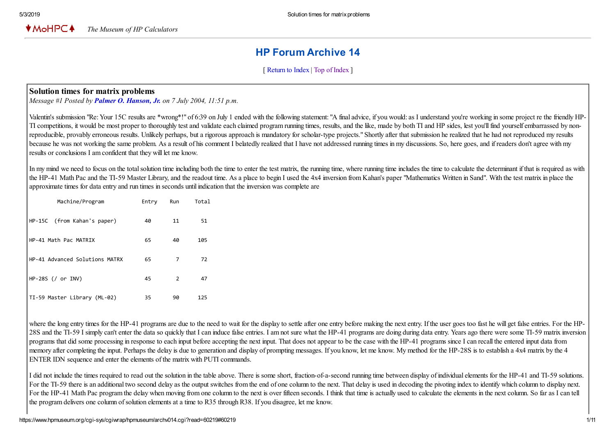# HP Forum Archive 14

[ [Return to Index](https://www.hpmuseum.org/cgi-sys/cgiwrap/hpmuseum/archv014.cgi#60048) | [Top of Index](https://www.hpmuseum.org/cgi-sys/cgiwrap/hpmuseum/archv014.cgi) ]

### Solution times for matrix problems

*Message #1 Posted by [Palmer O. Hanson, Jr.](https://www.hpmuseum.org/cgi-sys/cgiwrap/hpmuseum/archv014.cgi?contact=60048) on 7 July 2004, 11:51 p.m.*

Valentin's submission "Re: Your 15C results are \*wrong\*!" of 6:39 on July 1 ended with the following statement: "A final advice, if you would: as I understand you're working in some project re the friendly HP-TI competitions, it would be most proper to thoroughly test and validate each claimed program running times, results, and the like, made by both TI and HP sides, lest you'll find yourself embarrassed by nonreproducible, provably erroneous results. Unlikely perhaps, but a rigorous approach is mandatory for scholar-type projects." Shortly after that submission he realized that he had not reproduced my results because he was not working the same problem. As a result of his comment I belatedly realized that I have not addressed running times in my discussions. So, here goes, and if readers don't agree with my results or conclusions I am confident that they will let me know.

In my mind we need to focus on the total solution time including both the time to enter the test matrix, the running time, where running time includes the time to calculate the determinant if that is required as with the HP-41 Math Pac and the TI-59 Master Library, and the readout time. As a place to begin I used the 4x4 inversion from Kahan's paper "Mathematics Written in Sand". With the test matrix in place the approximate times for data entry and run times in seconds until indication that the inversion was complete are

| Machine/Program                | Entry | Run | Total |
|--------------------------------|-------|-----|-------|
| HP-15C (from Kahan's paper)    | 40    | 11  | 51    |
| HP-41 Math Pac MATRIX          | 65    | 40  | 105   |
| HP-41 Advanced Solutions MATRX | 65    | 7   | 72    |
| $HP-285$ (/ or INV)            | 45    | 2   | 47    |
| TI-59 Master Library (ML-02)   | 35    | 90  | 125   |

where the long entry times for the HP-41 programs are due to the need to wait for the display to settle after one entry before making the next entry. If the user goes too fast he will get false entries. For the HP-28S and the TI-59 I simply can't enter the data so quickly that I can induce false entries. I am not sure what the HP-41 programs are doing during data entry. Years ago there were some TI-59 matrix inversion programs that did some processing in response to each input before accepting the next input. That does not appear to be the case with the HP-41 programs since I can recall the entered input data from memory after completing the input. Perhaps the delay is due to generation and display of prompting messages. If you know, let me know. My method for the HP-28S is to establish a 4x4 matrix by the 4 ENTER IDN sequence and enter the elements of the matrix with PUTI commands.

I did not include the times required to read out the solution in the table above. There is some short, fraction-of-a-second running time between display of individual elements for the HP-41 and TI-59 solutions. For the TI-59 there is an additional two second delay as the output switches from the end of one column to the next. That delay is used in decoding the pivoting index to identify which column to display next. For the HP-41 Math Pac program the delay when moving from one column to the next is over fifteen seconds. I think that time is actually used to calculate the elements in the next column. So far as I can tell the program delivers one column of solution elements at a time to R35 through R38. If you disagree, let me know.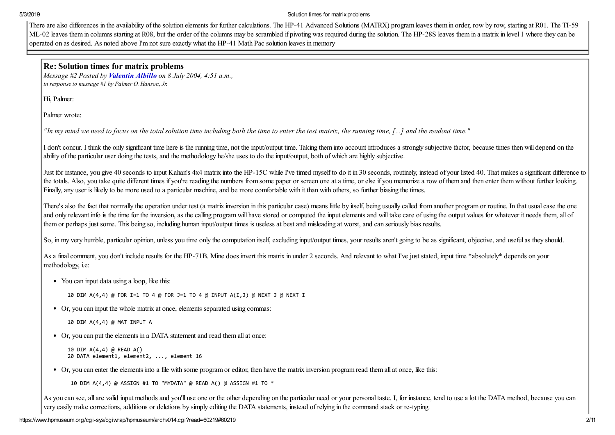There are also differences in the availability of the solution elements for further calculations. The HP-41 Advanced Solutions (MATRX) program leaves them in order, row by row, starting at R01. The TI-59 ML-02 leaves them in columns starting at R08, but the order of the columns may be scrambled if pivoting was required during the solution. The HP-28S leaves them in a matrix in level 1 where they can be operated on as desired. As noted above I'm not sure exactly what the HP-41 Math Pac solution leaves in memory

#### Re: Solution times for matrix problems

*Message #2 Posted by [Valentin Albillo](https://www.hpmuseum.org/cgi-sys/cgiwrap/hpmuseum/archv014.cgi?contact=60056) on 8 July 2004, 4:51 a.m., in response to message #1 by Palmer O. Hanson, Jr.*

Hi, Palmer:

Palmer wrote:

*"In my mind we need to focus on the total solution time including both the time to enter the test matrix, the running time, [...] and the readout time."*

I don't concur. I think the only significant time here is the running time, not the input/output time. Taking them into account introduces a strongly subjective factor, because times then will depend on the ability of the particular user doing the tests, and the methodology he/she uses to do the input/output, both of which are highly subjective.

Just for instance, you give 40 seconds to input Kahan's 4x4 matrix into the HP-15C while I've timed myself to do it in 30 seconds, routinely, instead of your listed 40. That makes a significant difference to the totals. Also, you take quite different times if you're reading the numbers from some paper or screen one at a time, or else if you memorize a row of them and then enter them without further looking. Finally, any user is likely to be more used to a particular machine, and be more comfortable with it than with others, so further biasing the times.

There's also the fact that normally the operation under test (a matrix inversion in this particular case) means little by itself, being usually called from another program or routine. In that usual case the one and only relevant info is the time for the inversion, as the calling program will have stored or computed the input elements and will take care of using the output values for whatever it needs them, all of them or perhaps just some. This being so, including human input/output times is useless at best and misleading at worst, and can seriously bias results.

So, in my very humble, particular opinion, unless you time only the computation itself, excluding input/output times, your results aren't going to be as significant, objective, and useful as they should.

As a final comment, you don't include results for the HP-71B. Mine does invert this matrix in under 2 seconds. And relevant to what I've just stated, input time \*absolutely\* depends on your methodology, i.e:

• You can input data using a loop, like this:

10 DIM A(4,4) @ FOR I=1 TO 4 @ FOR J=1 TO 4 @ INPUT A(I,J) @ NEXT J @ NEXT I

Or, you can input the whole matrix at once, elements separated using commas:

```
10 DIM A(4,4) @ MAT INPUT A
```
Or, you can put the elements in a DATA statement and read them all at once:

```
10 DIM A(4,4) @ READ A()
20 DATA element1, element2, ..., element 16
```
Or, you can enter the elements into a file with some program or editor, then have the matrix inversion program read them all at once, like this:

10 DIM A(4,4) @ ASSIGN #1 TO "MYDATA" @ READ A() @ ASSIGN #1 TO \*

As you can see, all are valid input methods and you'll use one or the other depending on the particular need or your personal taste. I, for instance, tend to use a lot the DATA method, because you can very easily make corrections, additions or deletions by simply editing the DATA statements, instead of relying in the command stack or re-typing.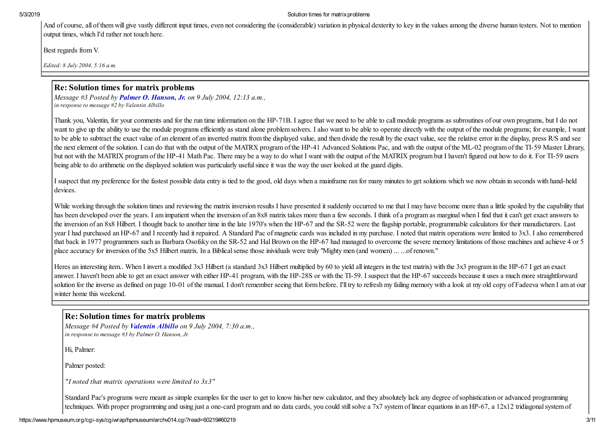And of course, all of them will give vastly different input times, even not considering the (considerable) variation in physical dexterity to key in the values among the diverse human testers. Not to mention output times, which I'd rather not touch here.

Best regards from V.

*Edited: 8 July 2004, 5:16 a.m.*

# Re: Solution times for matrix problems

*Message #3 Posted by [Palmer O. Hanson, Jr.](https://www.hpmuseum.org/cgi-sys/cgiwrap/hpmuseum/archv014.cgi?contact=60115) on 9 July 2004, 12:13 a.m., in response to message #2 by Valentin Albillo*

Thank you, Valentin, for your comments and for the run time information on the HP-71B. I agree that we need to be able to call module programs as subroutines of our own programs, but I do not want to give up the ability to use the module programs efficiently as stand alone problem solvers. I also want to be able to operate directly with the output of the module programs; for example, I want to be able to subtract the exact value of an element of an inverted matrix from the displayed value, and then divide the result by the exact value, see the relative error in the display, press R/S and see the next element of the solution. I can do that with the output of the MATRX program of the HP-41 Advanced Solutions Pac, and with the output of the ML-02 program of the TI-59 Master Library, but not with the MATRIX program of the HP-41 Math Pac. There may be a way to do what I want with the output of the MATRIX program but I haven't figured out how to do it. For TI-59 users being able to do arithmetic on the displayed solution was particularly useful since it was the way the user looked at the guard digits.

I suspect that my preference for the fastest possible data entry is tied to the good, old days when a mainframe ran for many minutes to get solutions which we now obtain in seconds with hand-held devices.

While working through the solution times and reviewing the matrix inversion results I have presented it suddenly occurred to me that I may have become more than a little spoiled by the capability that has been developed over the years. I am impatient when the inversion of an 8x8 matrix takes more than a few seconds. I think of a program as marginal when I find that it can't get exact answers to the inversion of an 8x8 Hilbert. I thought back to another time in the late 1970's when the HP-67 and the SR-52 were the flagship portable, programmable calculators for their manufacturers. Last year I had purchased an HP-67 and I recently had it repaired. A Standard Pac of magnetic cards was included in my purchase. I noted that matrix operations were limited to 3x3. I also remembered that back in 1977 programmers such as Barbara Osofsky on the SR-52 and Hal Brown on the HP-67 had managed to overcome the severe memory limitations of those machines and achieve 4 or 5 place accuracy for inversion of the 5x5 Hilbert matrix. In a Biblical sense those inividuals were truly "Mighty men (and women) ... ...of renown."

Heres an interesting item. When I invert a modified 3x3 Hilbert (a standard 3x3 Hilbert multiplied by 60 to yield all integers in the test matrix) with the 3x3 program in the HP-67 I get an exact answer. I haven't been able to get an exact answer with either HP-41 program, with the HP-28S or with the TI-59. I suspect that the HP-67 succeeds because it uses a much more straightforward solution for the inverse as defined on page 10-01 of the manual. I don't remember seeing that form before. I'll try to refresh my failing memory with a look at my old copy of Fadeeva when I am at our winter home this weekend.

# Re: Solution times for matrix problems

*Message #4 Posted by [Valentin Albillo](https://www.hpmuseum.org/cgi-sys/cgiwrap/hpmuseum/archv014.cgi?contact=60136) on 9 July 2004, 7:30 a.m., in response to message #3 by Palmer O. Hanson, Jr.*

Hi, Palmer:

Palmer posted:

*"I noted that matrix operations were limited to 3x3"*

Standard Pac's programs were meant as simple examples for the user to get to know his/her new calculator, and they absolutely lack any degree of sophistication or advanced programming techniques. With proper programming and using just a one-card program and no data cards, you could still solve a 7x7 system of linear equations in an HP-67, a 12x12 tridiagonal system of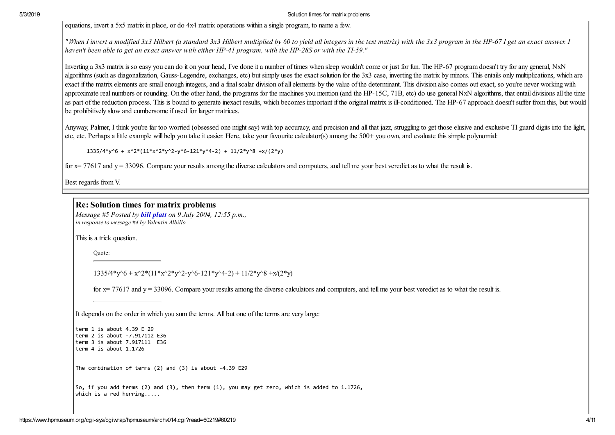equations, invert a 5x5 matrix in place, or do 4x4 matrix operations within a single program, to name a few.

*"When I invert a modified 3x3 Hilbert (a standard 3x3 Hilbert multiplied by 60 to yield all integers in the test matrix) with the 3x3 program in the HP-67 I get an exact answer. I haven't been able to get an exact answer with either HP-41 program, with the HP-28S or with the TI-59."*

Inverting a 3x3 matrix is so easy you can do it on your head. I've done it a number of times when sleep wouldn't come or just for fun. The HP-67 program doesn't try for any general, NxN algorithms (such as diagonalization, Gauss-Legendre, exchanges, etc) but simply uses the exact solution for the 3x3 case, inverting the matrix by minors. This entails only multiplications, which are exact if the matrix elements are small enough integers, and a final scalar division of all elements by the value of the determinant. This division also comes out exact, so you're never working with approximate real numbers or rounding. On the other hand, the programs for the machines you mention (and the HP-15C, 71B, etc) do use general NxN algorithms, that entail divisions all the time as part of the reduction process. This is bound to generate inexact results, which becomes important if the original matrix is ill-conditioned. The HP-67 approach doesn't suffer from this, but would be prohibitively slow and cumbersome if used for larger matrices.

Anyway, Palmer, I think you're far too worried (obsessed one might say) with top accuracy, and precision and all that jazz, struggling to get those elusive and exclusive TI guard digits into the light, etc, etc. Perhaps a little example will help you take it easier. Here, take your favourite calculator(s) among the 500+ you own, and evaluate this simple polynomial:

1335/4\*y^6 + x^2\*(11\*x^2\*y^2-y^6-121\*y^4-2) + 11/2\*y^8 +x/(2\*y)

for  $x = 77617$  and  $y = 33096$ . Compare your results among the diverse calculators and computers, and tell me your best veredict as to what the result is.

Best regards from V.

### Re: Solution times for matrix problems

*Message #5 Posted by [bill platt](https://www.hpmuseum.org/cgi-sys/cgiwrap/hpmuseum/archv014.cgi?contact=60146) on 9 July 2004, 12:55 p.m., in response to message #4 by Valentin Albillo*

This is a trick question.

Quote:

 $1335/4*_{V}$ <sup>6</sup> + x<sup>^</sup>2\*(11\*x<sup>^</sup>2\*y<sup>^</sup>2-y<sup>^</sup>6-121\*y<sup>^</sup>4-2) + 11/2\*y<sup>^8</sup> +x/(2\*y)

for  $x = 77617$  and  $y = 33096$ . Compare your results among the diverse calculators and computers, and tell me your best veredict as to what the result is.

It depends on the order in which you sum the terms. All but one of the terms are very large:

```
term 1 is about 4.39 E 29
term 2 is about -7.917112 E36
term 3 is about 7.917111 E36
term 4 is about 1.1726
```
The combination of terms (2) and (3) is about -4.39 E29

So, if you add terms (2) and (3), then term (1), you may get zero, which is added to 1.1726, which is a red herring.....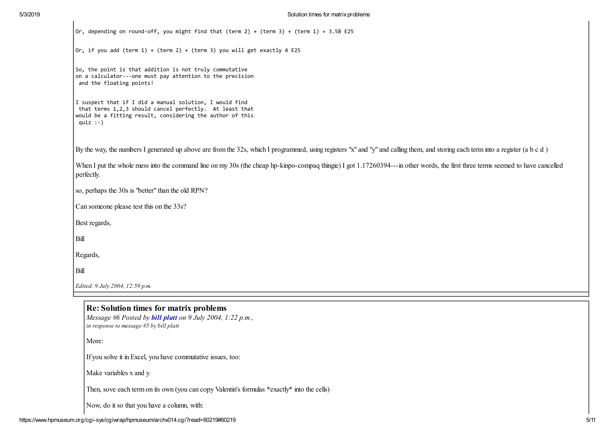| Or, depending on round-off, you might find that (term 2) + (term 3) + (term 1) = 3.58 E25                                                                                                     |
|-----------------------------------------------------------------------------------------------------------------------------------------------------------------------------------------------|
| Or, if you add (term $1$ ) + (term $2$ ) + (term 3) you will get exactly 4 E25                                                                                                                |
| So, the point is that addition is not truly commutative<br>on a calculator---one must pay attention to the precision<br>and the floating points!                                              |
| I suspect that if I did a manual solution, I would find<br>that terms 1,2,3 should cancel perfectly. At least that<br>would be a fitting result, considering the author of this<br>quiz $:-)$ |
| By the way, the numbers I generated up above are from the 32s, which I programmed, using registers "x" and "y" and calling them, and storing each term into a register (a b c d)              |
| When I put the whole mess into the command line on my 30s (the cheap hp-kinpo-compaq thingie) I got 1.17260394---in other words, the first three terms seemed to have cancelled<br>perfectly. |
| so, perhaps the 30s is "better" than the old RPN?                                                                                                                                             |
| Can someone please test this on the 33s?                                                                                                                                                      |
| Best regards,                                                                                                                                                                                 |
| Bill                                                                                                                                                                                          |
| Regards,                                                                                                                                                                                      |
| Bill                                                                                                                                                                                          |
| Edited: 9 July 2004, 12:59 p.m.                                                                                                                                                               |

*in response to message #5 by bill platt*

More:

If you solve it in Excel, you have commutative issues, too:

Make variables x and y.

Then, sove each term on its own (you can copy Valentin's formulas \*exactly\* into the cells)

Now, do it so that you have a column, with: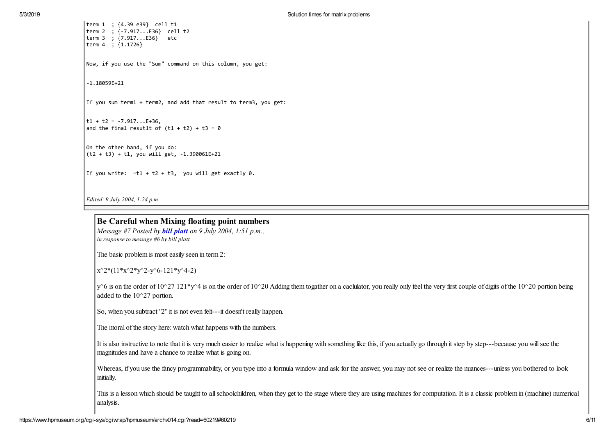| term 1 ; {4.39 e39} cell t1<br>term 2 ; {-7.917E36} cell t2<br>term 3 ; {7.917E36} etc<br>term 4 ; $\{1.1726\}$ |  |  |
|-----------------------------------------------------------------------------------------------------------------|--|--|
| Now, if you use the "Sum" command on this column, you get:                                                      |  |  |
| $-1.18059E+21$                                                                                                  |  |  |
| If you sum term1 + term2, and add that result to term3, you get:                                                |  |  |
| $t1 + t2 = -7.917E+36$ ,<br>and the final resutlt of $(t1 + t2) + t3 = 0$                                       |  |  |
| On the other hand, if you do:<br>$(t2 + t3) + t1$ , you will get, -1.390061E+21                                 |  |  |
| If you write: $=t1 + t2 + t3$ , you will get exactly 0.                                                         |  |  |
| <i>Edited: 9 July 2004, 1:24 p.m.</i>                                                                           |  |  |

Be Careful when Mixing floating point numbers

*Message #7 Posted by [bill platt](https://www.hpmuseum.org/cgi-sys/cgiwrap/hpmuseum/archv014.cgi?contact=60153) on 9 July 2004, 1:51 p.m., in response to message #6 by bill platt*

The basic problem is most easily seen in term 2:

 $x^2*(11*x^2*y^2-y^6-121*y^4-2)$ 

 $y^6$  is on the order of  $10^2$ 7  $121^*y^4$  is on the order of  $10^2$ 0 Adding them togather on a caclulator, you really only feel the very first couple of digits of the  $10^2$ 0 portion being added to the 10^27 portion.

So, when you subtract "2" it is not even felt---it doesn't really happen.

The moral of the story here: watch what happens with the numbers.

It is also instructive to note that it is very much easier to realize what is happening with something like this, if you actually go through it step by step---because you will see the magnitudes and have a chance to realize what is going on.

Whereas, if you use the fancy programmability, or you type into a formula window and ask for the answer, you may not see or realize the nuances---unless you bothered to look initially.

This is a lesson which should be taught to all schoolchildren, when they get to the stage where they are using machines for computation. It is a classic problem in (machine) numerical analysis.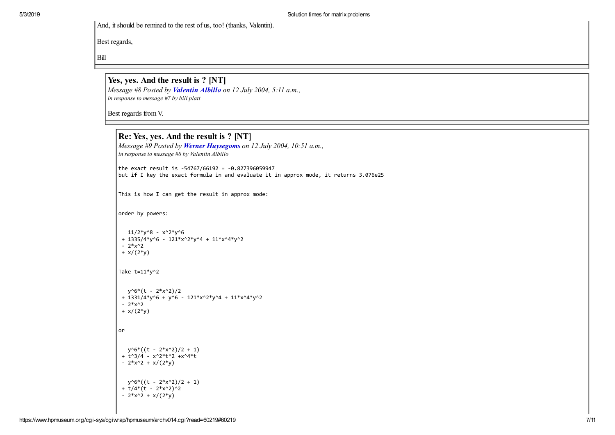And, it should be remined to the rest of us, too! (thanks, Valentin).

Best regards,

Bill

Yes, yes. And the result is ? [NT] *Message #8 Posted by [Valentin Albillo](https://www.hpmuseum.org/cgi-sys/cgiwrap/hpmuseum/archv014.cgi?contact=60219) on 12 July 2004, 5:11 a.m., in response to message #7 by bill platt*

Best regards from V.

```
 Re: Yes, yes. And the result is ? [NT]
Message #9 Posted by Werner Huysegoms on 12 July 2004, 10:51 a.m.,
in response to message #8 by Valentin Albillo
the exact result is -54767/66192 = -0.827396059947
\vert but if I key the exact formula in and evaluate it in approx mode, it returns 3.076e25
This is how I can get the result in approx mode:
order by powers:
  11/2*y^8 - x^2*y^6+ 1335/4*y^6 - 121*x^2*y^4 + 11*x^4*y^2
 - 2*x^2
 + x/(2*y)Take t=11*y^2y^6*(t - 2*x^2)/2+ 1331/4*y^6 + y^6 - 121*x^2*y^4 + 11*x^4*y^2- 2*x^2
 + x/(2*y)or
  y^6*(t - 2*x^2)/2 + 1)+ t^{3}/4 - x^{2}*t^{2} +x^{4}*t- 2*x^2 + x/(2*y)y^6*((t - 2*x^2)/2 + 1)
 + t/4*(t - 2*x^2)^2- 2*x^2 + x/(2*y)
```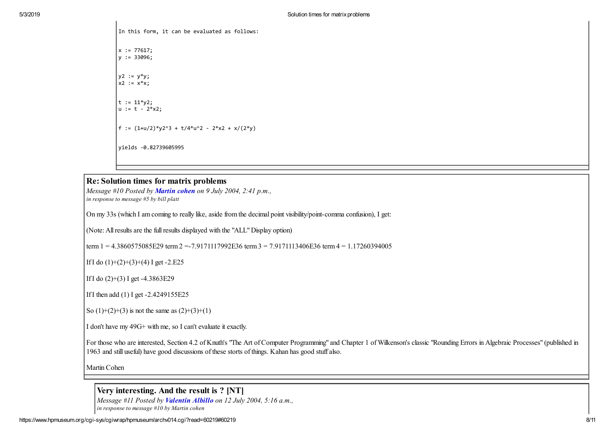In this form, it can be evaluated as follows: x := 77617; y := 33096;  $y^2 := y^*y$ ;  $x^2 := x^*x$ ;  $t := 11 * v2;$ u := t - 2\*x2; f := (1+u/2)\*y2^3 + t/4\*u^2 - 2\*x2 + x/(2\*y) yields -0.82739605995

#### Re: Solution times for matrix problems

*Message #10 Posted by [Martin cohen](https://www.hpmuseum.org/cgi-sys/cgiwrap/hpmuseum/archv014.cgi?contact=60156) on 9 July 2004, 2:41 p.m., in response to message #5 by bill platt*

On my 33s (which I am coming to really like, aside from the decimal point visibility/point-comma confusion), I get:

(Note: All results are the full results displayed with the "ALL" Display option)

term  $1 = 4.3860575085E29$  term  $2 = -7.9171117992E36$  term  $3 = 7.9171113406E36$  term  $4 = 1.17260394005$ 

If I do  $(1)+(2)+(3)+(4)$  I get -2.E25

If I do (2)+(3) I get -4.3863E29

If I then add (1) I get -2.4249155E25

So  $(1)+(2)+(3)$  is not the same as  $(2)+(3)+(1)$ 

I don't have my 49G+ with me, so I can't evaluate it exactly.

For those who are interested, Section 4.2 of Knuth's "The Art of Computer Programming" and Chapter 1 of Wilkenson's classic "Rounding Errors in Algebraic Processes" (published in 1963 and still useful) have good discussions of these storts of things. Kahan has good stuff also.

Martin Cohen

 Very interesting. And the result is ? [NT] *Message #11 Posted by [Valentin Albillo](https://www.hpmuseum.org/cgi-sys/cgiwrap/hpmuseum/archv014.cgi?contact=60220) on 12 July 2004, 5:16 a.m., in response to message #10 by Martin cohen*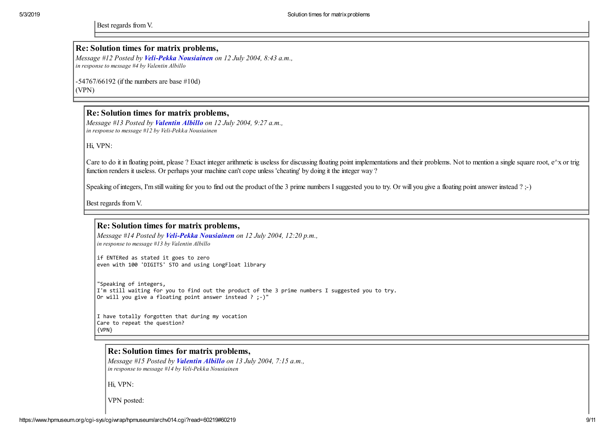Best regards from V.

#### Re: Solution times for matrix problems,

*Message #12 Posted by [Veli-Pekka Nousiainen](https://www.hpmuseum.org/cgi-sys/cgiwrap/hpmuseum/archv014.cgi?contact=60225) on 12 July 2004, 8:43 a.m., in response to message #4 by Valentin Albillo*

-54767/66192 (if the numbers are base #10d) (VPN)

### Re: Solution times for matrix problems,

*Message #13 Posted by [Valentin Albillo](https://www.hpmuseum.org/cgi-sys/cgiwrap/hpmuseum/archv014.cgi?contact=60230) on 12 July 2004, 9:27 a.m., in response to message #12 by Veli-Pekka Nousiainen*

Hi, VPN:

Care to do it in floating point, please ? Exact integer arithmetic is useless for discussing floating point implementations and their problems. Not to mention a single square root,  $e^{\wedge}x$  or trig function renders it useless. Or perhaps your machine can't cope unless 'cheating' by doing it the integer way ?

Speaking of integers, I'm still waiting for you to find out the product of the 3 prime numbers I suggested you to try. Or will you give a floating point answer instead ? ;-)

Best regards from V.

### Re: Solution times for matrix problems,

*Message #14 Posted by [Veli-Pekka Nousiainen](https://www.hpmuseum.org/cgi-sys/cgiwrap/hpmuseum/archv014.cgi?contact=60234) on 12 July 2004, 12:20 p.m., in response to message #13 by Valentin Albillo*

if ENTERed as stated it goes to zero even with 100 'DIGITS' STO and using LongFloat library

"Speaking of integers, I'm still waiting for you to find out the product of the 3 prime numbers I suggested you to try. Or will you give a floating point answer instead ? ;-)"

I have totally forgotten that during my vocation Care to repeat the question? {VPN}

### Re: Solution times for matrix problems,

*Message #15 Posted by [Valentin Albillo](https://www.hpmuseum.org/cgi-sys/cgiwrap/hpmuseum/archv014.cgi?contact=60273) on 13 July 2004, 7:15 a.m., in response to message #14 by Veli-Pekka Nousiainen*

Hi, VPN:

VPN posted: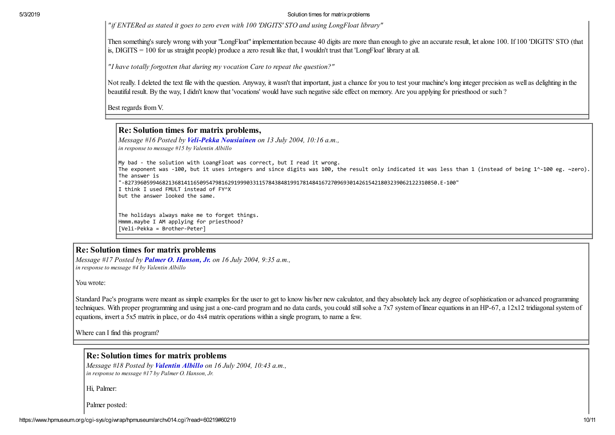*"if ENTERed as stated it goes to zero even with 100 'DIGITS' STO and using LongFloat library"*

Then something's surely wrong with your "LongFloat" implementation because 40 digits are more than enough to give an accurate result, let alone 100. If 100 'DIGITS' STO (that is, DIGITS = 100 for us straight people) produce a zero result like that, I wouldn't trust that 'LongFloat' library at all.

*"I have totally forgotten that during my vocation Care to repeat the question?"*

Not really. I deleted the text file with the question. Anyway, it wasn't that important, just a chance for you to test your machine's long integer precision as well as delighting in the beautiful result. By the way, I didn't know that 'vocations' would have such negative side effect on memory. Are you applying for priesthood or such ?

Best regards from V.

# Re: Solution times for matrix problems,

*Message #16 Posted by [Veli-Pekka Nousiainen](https://www.hpmuseum.org/cgi-sys/cgiwrap/hpmuseum/archv014.cgi?contact=60279) on 13 July 2004, 10:16 a.m., in response to message #15 by Valentin Albillo*

My bad - the solution with LoangFloat was correct, but I read it wrong.

The exponent was -100, but it uses integers and since digits was 100, the result only indicated it was less than 1 (instead of being 1^-100 eg. ~zero). The answer is

"-8273960599468213681411650954798162919990331157843848199178148416727096930142615421803239062122310850.E-100"

I think I used FMULT instead of FY^X but the answer looked the same.

The holidays always make me to forget things.

Hmmm.maybe I AM applying for priesthood? [Veli-Pekka = Brother-Peter]

## Re: Solution times for matrix problems

*Message #17 Posted by [Palmer O. Hanson, Jr.](https://www.hpmuseum.org/cgi-sys/cgiwrap/hpmuseum/archv014.cgi?contact=60591) on 16 July 2004, 9:35 a.m., in response to message #4 by Valentin Albillo*

You wrote:

Standard Pac's programs were meant as simple examples for the user to get to know his/her new calculator, and they absolutely lack any degree of sophistication or advanced programming techniques. With proper programming and using just a one-card program and no data cards, you could still solve a 7x7 system of linear equations in an HP-67, a 12x12 tridiagonal system of equations, invert a 5x5 matrix in place, or do 4x4 matrix operations within a single program, to name a few.

Where can I find this program?

### Re: Solution times for matrix problems

*Message #18 Posted by [Valentin Albillo](https://www.hpmuseum.org/cgi-sys/cgiwrap/hpmuseum/archv014.cgi?contact=60616) on 16 July 2004, 10:43 a.m., in response to message #17 by Palmer O. Hanson, Jr.*

Hi, Palmer:

Palmer posted: